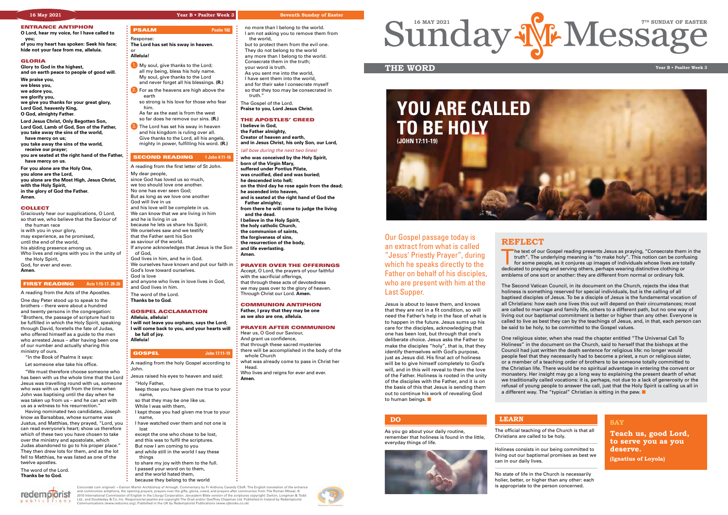

#### ENTRANCE ANTIPHON

**O Lord, hear my voice, for I have called to you;**

**of you my heart has spoken: Seek his face; hide not your face from me, alleluia.**

#### GLORIA

**Glory to God in the highest, and on earth peace to people of good will.**

**We praise you,**

- **we bless you, we adore you,**
- **we glorify you,**
- 
- **we give you thanks for your great glory, Lord God, heavenly King, O God, almighty Father.**
- **Lord Jesus Christ, Only Begotten Son, Lord God, Lamb of God, Son of the Father, you take away the sins of the world, have mercy on us;**
- **you take away the sins of the world, receive our prayer;**
- **you are seated at the right hand of the Father, have mercy on us.**

Having nominated two candidates, Joseph know as Barsabbas, whose surname was Justus, and Matthias, they prayed, "Lord, you" can read everyone's heart; show us therefore which of these two you have chosen to take over the ministry and apostolate, which Judas abandoned to go to his proper place." They then drew lots for them, and as the lot fell to Matthias, he was listed as one of the twelve apostles

**For you alone are the Holy One, you alone are the Lord, you alone are the Most High, Jesus Christ, with the Holy Spirit, in the glory of God the Father. Amen.** 

#### **COLLECT**

Graciously hear our supplications, O Lord, so that we, who believe that the Saviour of the human race is with you in your glory, may experience, as he promised, until the end of the world, his abiding presence among us. Who lives and reigns with you in the unity of the Holy Spirit, God, for ever and ever. **Amen.**

#### **FIRST READING** Acts 1:15-17. 20-26

- 1. My soul, give thanks to the Lord; all my being, bless his holy name. My soul, give thanks to the Lord
- and never forget all his blessings. **(R.)** 2. For as the heavens are high above the
- earth so strong is his love for those who fear him.
- As far as the east is from the west so far does he remove our sins. **(R.)**
- **3.** The Lord has set his sway in heaven and his kingdom is ruling over all. Give thanks to the Lord, all his angels, mighty in power, fulfilling his word. **(R.)**

## **SECOND READING** 1 John 4:11-16

A reading from the Acts of the Apostles.

One day Peter stood up to speak to the brothers – there were about a hundred and twenty persons in the congregation: "Brothers, the passage of scripture had to be fulfilled in which the Holy Spirit, speaking through David, foretells the fate of Judas, who offered himself as a guide to the men who arrested Jesus – after having been one of our number and actually sharing this ministry of ours.

- "In the Book of Psalms it says:
- Let someone else take his office.

"We must therefore choose someone who has been with us the whole time that the Lord Jesus was travelling round with us, someone who was with us right from the time when John was baptising until the day when he was taken up from us – and he can act with us as a witness to his resurrection."

The word of the Lord. **Thanks be to God.** 

redemporist



or **Alleluia!**

Jesus is about to leave them, and knows that they are not in a fit condition, so will need the Father's help in the face of what is to happen in the future. Jesus sums up his care for the disciples, acknowledging that one has been lost, but through that one's deliberate choice. Jesus asks the Father to make the disciples "holy", that is, that they identify themselves with God's purpose, just as Jesus did. His final act of holiness will be to give himself completely to God's will, and in this will reveal to them the love of the Father. Holiness is rooted in the unity of the disciples with the Father, and it is on the basis of this that Jesus is sending them out to continue his work of revealing God to human beings.  $\blacksquare$ 

- A reading from the first letter of St John. My dear people, since God has loved us so much, we too should love one another. No one has ever seen God; But as long as we love one another God will live in us and his love will be complete in us. We can know that we are living in him and he is living in us because he lets us share his Spirit. We ourselves saw and we testify that the Father sent his Son as saviour of the world. If anyone acknowledges that Jesus is the Son of God, God lives in him, and he in God. We ourselves have known and put our faith in God's love toward ourselves.
- God is love and anyone who lives in love lives in God,
- and God lives in him.
- The word of the Lord. **Thanks be to God.**

#### GOSPEL ACCLAMATION **Alleluia, alleluia!**

The text of our Gospel reading presents Jesus as praying, "Consecrate them in the truth". The underlying meaning is "to make holy". This notion can be confusing for some people, as it conjures up images of individuals whose lives are totally dedicated to praying and serving others, perhaps wearing distinctive clothing or emblems of one sort or another: they are different from normal or ordinary folk.

**I will not leave you orphans, says the Lord; I will come back to you, and your hearts will be full of joy. Alleluia!**

#### GOSPEL **John 17:11-19**

#### A reading from the holy Gospel according to John.

One religious sister, when she read the chapter entitled "The Universal Call To Holiness" in the document on the Church, said to herself that the bishops at the Council had just written the death sentence for religious life: no longer would people feel that they necessarily had to become a priest, a nun or religious sister, or a member of a teaching order of brothers to be someone totally committed to the Christian life. There would be no spiritual advantage in entering the convent or monastery. Her insight may go a long way to explaining the present dearth of what we traditionally called vocations: it is, perhaps, not due to a lack of generosity or the refusal of young people to answer the call, just that the Holy Spirit is calling us all in a different way. The "typical" Christian is sitting in the pew.  $\blacksquare$ 

- Jesus raised his eyes to heaven and said: "Holy Father,
- keep those you have given me true to your name,
- so that they may be one like us.
- While I was with them,
- I kept those you had given me true to your name,
- I have watched over them and not one is lost
- except the one who chose to be lost, and this was to fulfil the scriptures. But now I am coming to you
- and while still in the world I say these
- things to share my joy with them to the full. I passed your word on to them,
- and the world hated them, because they belong to the world

Concordat cum originali: + Eamon Martin Archbishop of Armagh. Commentary by Fr Anthony Cassidy CSsR. The English translation of the entrance and communion antiphons, the opening prayers, prayers over the gifts, gloria, creed, and prayers after communion from The Roman Missal, ©<br>2010 International Commission of English in the Liturgy Corporation. Jerusalem Bible

- no more than I belong to the world. I am not asking you to remove them from the world,
- but to protect them from the evil one. They do not belong to the world any more than I belong to the world. Consecrate them in the truth; your word is truth.
- As you sent me into the world,
- I have sent them into the world,
- and for their sake I consecrate myself so that they too may be consecrated in truth."

The Gospel of the Lord. **Praise to you, Lord Jesus Christ.**

### THE APOSTLES' CREED

**I believe in God, the Father almighty,**

**Creator of heaven and earth, and in Jesus Christ, his only Son, our Lord,** *(all bow during the next two lines)*

**who was conceived by the Holy Spirit, born of the Virgin Mary, suffered under Pontius Pilate, was crucified, died and was buried; he descended into hell;**

- **on the third day he rose again from the dead; he ascended into heaven,**
- **and is seated at the right hand of God the**
- **Father almighty; from there he will come to judge the living**
- **and the dead. I believe in the Holy Spirit,**
- **the holy catholic Church,**
- **the communion of saints,**
- **the forgiveness of sins,**
- **the resurrection of the body,**
- **and life everlasting. Amen.**

#### PRAYER OVER THE OFFERINGS

Accept, O Lord, the prayers of your faithful with the sacrificial offerings, that through these acts of devotedness we may pass over to the glory of heaven. Through Christ our Lord. **Amen.**

### COMMUNION ANTIPHON

**Father, I pray that they may be one as we also are one, alleluia.**

#### PRAYER AFTER COMMUNION

- Hear us, O God our Saviour, And grant us confidence, that through these sacred mysteries there will be accomplished in the body of the
- whole Church what was already come to pass in Christ her
- Head. Who lives and reigns for ever and ever.
- **Amen.**

## **THE WORD Year B • Psalter Week 3**

#### **16 May 2021 Year B • Psalter Week 3 Seventh Sunday of Easter**



#### **SAY**

**Teach us, good Lord, to serve you as you deserve.**

**(Ignatius of Loyola)**

The official teaching of the Church is that all Christians are called to be holy.

Holiness consists in our being committed to living out our baptismal promises as best we

can in our daily lives.

No state of life in the Church is necessarily holier, better, or higher than any other: each is appropriate to the person concerned.

**LEARN**

As you go about your daily routine, remember that holiness is found in the little, everyday things of life.



## **DO**

Our Gospel passage today is an extract from what is called "Jesus' Priestly Prayer", during which he speaks directly to the Father on behalf of his disciples, who are present with him at the Last Supper.

The Second Vatican Council, in its document on the Church, rejects the idea that holiness is something reserved for special individuals, but is the calling of all baptised disciples of Jesus. To be a disciple of Jesus is the fundamental vocation of all Christians: how each one lives this out will depend on their circumstances; most are called to marriage and family life, others to a different path, but no one way of living out our baptismal commitment is better or higher than any other. Everyone is called to live as best they can by the teachings of Jesus, and, in that, each person can be said to be holy, to be committed to the Gospel values.

### **REFLECT**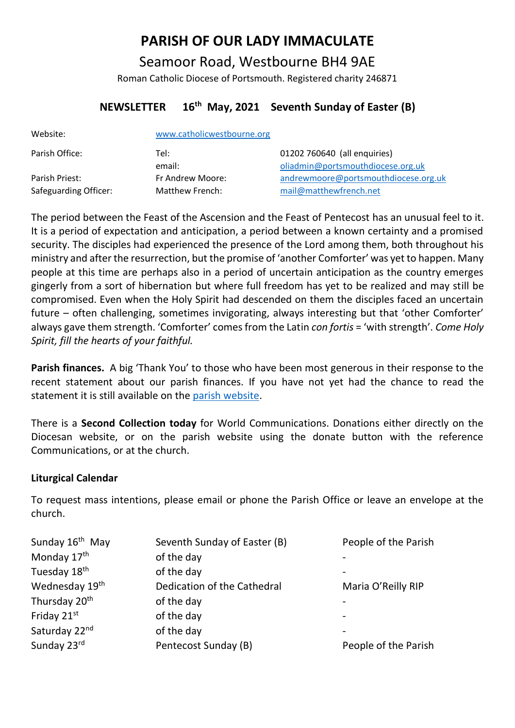# **PARISH OF OUR LADY IMMACULATE**

Seamoor Road, Westbourne BH4 9AE Roman Catholic Diocese of Portsmouth. Registered charity 246871

## **NEWSLETTER 16th May, 2021 Seventh Sunday of Easter (B)**

| Website:              | www.catholicwestbourne.org |                                      |
|-----------------------|----------------------------|--------------------------------------|
| Parish Office:        | Tel:                       | 01202 760640 (all enquiries)         |
|                       | email:                     | oliadmin@portsmouthdiocese.org.uk    |
| Parish Priest:        | Fr Andrew Moore:           | andrewmoore@portsmouthdiocese.org.uk |
| Safeguarding Officer: | Matthew French:            | mail@matthewfrench.net               |

The period between the Feast of the Ascension and the Feast of Pentecost has an unusual feel to it. It is a period of expectation and anticipation, a period between a known certainty and a promised security. The disciples had experienced the presence of the Lord among them, both throughout his ministry and after the resurrection, but the promise of 'another Comforter' was yet to happen. Many people at this time are perhaps also in a period of uncertain anticipation as the country emerges gingerly from a sort of hibernation but where full freedom has yet to be realized and may still be compromised. Even when the Holy Spirit had descended on them the disciples faced an uncertain future – often challenging, sometimes invigorating, always interesting but that 'other Comforter' always gave them strength. 'Comforter' comes from the Latin *con fortis* = 'with strength'. *Come Holy Spirit, fill the hearts of your faithful.*

**Parish finances.** A big 'Thank You' to those who have been most generous in their response to the recent statement about our parish finances. If you have not yet had the chance to read the statement it is still available on the [parish website.](http://catholicwestbourne.org/getting-involved/finance-and-property/)

There is a **Second Collection today** for World Communications. Donations either directly on the Diocesan website, or on the parish website using the donate button with the reference Communications, or at the church.

## **Liturgical Calendar**

To request mass intentions, please email or phone the Parish Office or leave an envelope at the church.

| Sunday 16 <sup>th</sup> May | Seventh Sunday of Easter (B) | People of the Parish |
|-----------------------------|------------------------------|----------------------|
| Monday 17 <sup>th</sup>     | of the day                   |                      |
| Tuesday 18 <sup>th</sup>    | of the day                   |                      |
| Wednesday 19 <sup>th</sup>  | Dedication of the Cathedral  | Maria O'Reilly RIP   |
| Thursday 20 <sup>th</sup>   | of the day                   |                      |
| Friday 21st                 | of the day                   |                      |
| Saturday 22nd               | of the day                   |                      |
| Sunday 23rd                 | Pentecost Sunday (B)         | People of the Parish |